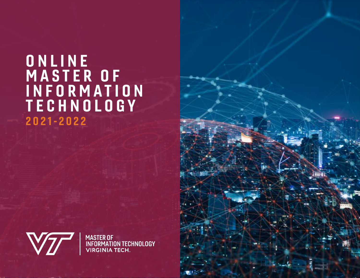### **ONLINE** MASTER OF I N F O R M A T I O N TECHNOLOGY 2021-2022



**MASTER OF<br>INFORMATION TECHNOLOGY<br>VIRGINIA TECH**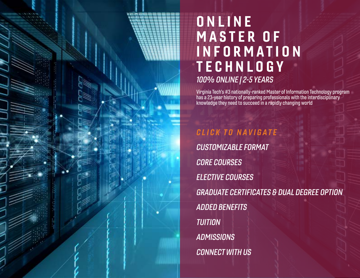### <span id="page-1-0"></span>**ONLINE** MASTER OF I N F O R M A T I O N **TECHNLOGY** 100% ONLINE | 2-5 YEARS

Virginia Tech's #3 nationally-ranked Master of Information Technology program has a 23-year history of preparing professionals with the interdisciplinary knowledge they need to succeed in a rapidly changing world

CLICK TO NAVIGATE [CUSTOMIZABLE FORMAT](#page-3-0) [CORE COURSES](#page-4-0) [ELECTIVE COURSES](#page-5-0) [GRADUATE CERTIFICATES & DUAL DEGREE OPTION](#page-6-0) [ADDED BENEFITS](#page-7-0) [TUITION](#page-8-0) **[ADMISSIONS](#page-9-0)** [CONNECT WITH US](#page-10-0)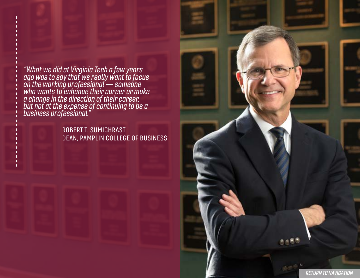"What we did at Virginia Tech a few years ago was to say that we really want to focus on the working professional — someone who wants to enhance their career or make a change in the direction of their career, but not at the expense of continuing to be a business professional."

> ROBERT T. SUMICHRAST DEAN, PAMPLIN COLLEGE OF BUSINESS

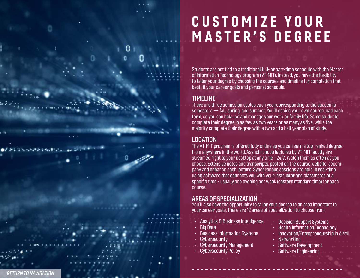## <span id="page-3-0"></span>C U S T O M I Z E Y O U R MASTER'S DEGREE

Students are not tied to a traditional full- or part-time schedule with the Master of Information Technology program (VT-MIT). Instead, you have the flexibility to tailor your degree by choosing the courses and timeline for completion that best fit your career goals and personal schedule.

### TIMELINE

There are three admission cycles each year corresponding to the academic semesters — fall, spring, and summer. You'll decide your own course load each term, so you can balance and manage your work or family life. Some students complete their degree in as few as two years or as many as five, while the majority complete their degree with a two and a half year plan of study.

### LOCATION

The VT-MIT program is offered fully online so you can earn a top-ranked degree from anywhere in the world. Asynchronous lectures by VT-MIT faculty are streamed right to your desktop at any time - 24/7. Watch them as often as you choose. Extensive notes and transcripts, posted on the course website, accom pany and enhance each lecture. Synchronous sessions are held in real-time using software that connects you with your instructor and classmates at a specific time - usually one evening per week (eastern standard time) for each course.

### AREAS OF SPECIALIZATION

You'll also have the opportunity to tailor your degree to an area important to your career goals. There are 12 areas of specialization to choose from:

- Analytics & Business Intelligence
- Big Data
- Business Information Systems
- **Cybersecurity**
- Cybersecurity Management
- Cybersecurity Policy
- Decision Support Systems
- Health Information Technology
- Innovation/Entrepreneurship in AI/ML
- **Networking**
- Software Development
- Software Engineering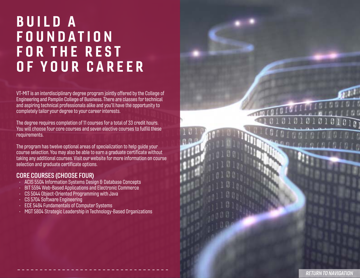### <span id="page-4-0"></span>BUILD A FOUNDATION FOR THE REST OF YOUR CAREER

VT-MIT is an interdisciplinary degree program jointly offered by the College of Engineering and Pamplin College of Business. There are classes for technical and aspiring technical professionals alike and you'll have the opportunity to completely tailor your degree to your career interests.

The degree requires completion of 11 courses for a total of 33 credit hours. You will choose four core courses and seven elective courses to fulfill these requirements.

The program has twelve optional areas of specialization to help guide your course selection. You may also be able to earn a graduate certificate without taking any additional courses. [Visit our website](https://vtmit.vt.edu/) for more information on course selection and graduate certificate options.

#### CORE COURSES (CHOOSE FOUR)

- ACIS 5504 Information Systems Design & Database Concepts
- BIT 5594 Web-Based Applications and Electronic Commerce
- CS 5044 Object-Oriented Programming with Java
- CS 5704 Software Engineering
- ECE 5484 Fundamentals of Computer Systems
- MGT 5804 Strategic Leadership in Technology-Based Organizations

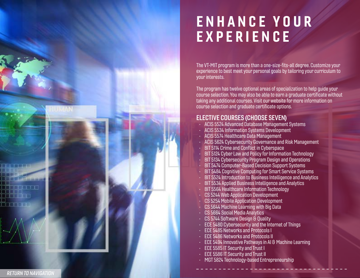## <span id="page-5-0"></span>ENHANCE YOUR EXPERIENCE

The VT-MIT program is more than a one-size-fits-all degree. Customize your experience to best meet your personal goals by tailoring your curriculum to your interests.

The program has twelve optional areas of specialization to help guide your course selection. You may also be able to earn a graduate certificate without taking any additional courses. [Visit our website](https://vtmit.vt.edu/) for more information on course selection and graduate certificate options.

#### ELECTIVE COURSES (CHOOSE SEVEN)

- ACIS 5524 Advanced Database Management Systems
- ACIS 5534 Information Systems Development
- ACIS 5574 Healthcare Data Management
- ACIS 5624 Cybersecurity Governance and Risk Management
- BIT 5114 Crime and Conflict in Cyberspace
- BIT 5124 Cyber Law and Policy for Information Technology
- BIT 5134 Cybersecurity Program Design and Operations
- BIT 5474 Computer-Based Decision Support Systems
- BIT 5484 Cognitive Computing for Smart Service Systems
- BIT 5524 Introduction to Business Intelligence and Analytics
- BIT 5534 Applied Business Intelligence and Analytics
- BIT 5564 Healthcare Information Technology
- CS 5244 Web Application Development
- CS 5254 Mobile Application Development
- CS 5644 Machine Learning with Big Data
- CS 5664 Social Media Analytics
- CS 5744 Software Design & Quality
- **ECE 5480 Cybersecurity and the Internet of Things**
- ECE 5485 Networks and Protocols I
- ECE 5486 Networks and Protocols II
- ECE 5494 Innovative Pathways in AI & Machine Learning
- ECE 5585 IT Security and Trust I
- ECE 5586 IT Security and Trust II
- MGT 5824 Technology-based Entrepreneurship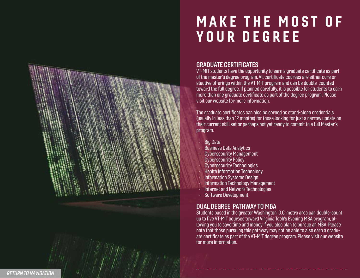## <span id="page-6-0"></span>MAKE THE MOST OF YOUR DEGREE

#### GRADUATE CERTIFICATES

VT-MIT students have the opportunity to earn a graduate certificate as part of the master's degree program. All certificate courses are either core or elective offerings within the VT-MIT program and can be double-counted toward the full degree. If planned carefully, it is possible for students to earn more than one graduate certificate as part of the degree program. Please visit our website for more information.

The graduate certificates can also be earned as stand-alone credentials (usually in less than 12 months) for those looking for just a narrow update on their current skill set or perhaps not yet ready to commit to a full Master's program.

- Big Data
- Business Data Analytics
- Cybersecurity Management
- Cybersecurity Policy
- Cybersecurity Technologies
- Health Information Technology
- Information Systems Design
- Information Technology Management
- Internet and Network Technologies
- Software Development

#### DUAL DEGREE PATHWAY TO MBA

Students based in the greater Washington, D.C. metro area can double-count up to five VT-MIT courses toward Virginia Tech's Evening MBA program, al lowing you to save time and money if you also plan to pursue an MBA. Please note that those pursuing this pathway may not be able to also earn a gradu ate certificate as part of the VT-MIT degree program. Please [visit our website](https://vtmit.vt.edu/)  for more information.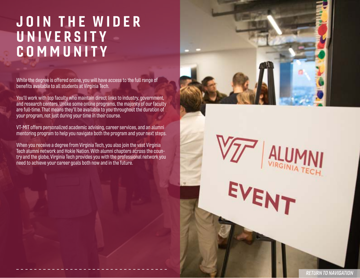### <span id="page-7-0"></span>JOIN THE WIDER UNIVERSITY COMMUNITY

While the degree is offered online, you will have access to the full range of benefits available to all students at Virginia Tech.

You'll work with top faculty who maintain direct links to industry, government, and research centers. Unlike some online programs, the majority of our faculty are full-time. That means they'll be available to you throughout the duration of your program, not just during your time in their course.

VT-MIT offers personalized academic advising, career services, and an alumni mentoring program to help you navigate both the program and your next steps.

When you receive a degree from Virginia Tech, you also join the vast Virginia Tech alumni network and Hokie Nation. With alumni chapters across the country and the globe, Virginia Tech provides you with the professional network you need to achieve your career goals both now and in the future.



EVENT

[RETURN TO NAVIGATION](#page-1-0)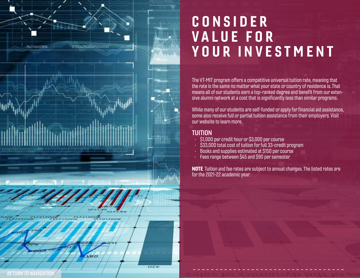<span id="page-8-0"></span>

# CONSIDER VALUE FOR YOUR INVESTMENT

The VT-MIT program offers a competitive universal tuition rate, meaning that the rate is the same no matter what your state or country of residence is. That means all of our students earn a top-ranked degree and benefit from our extensive alumni network at a cost that is significantly less than similar programs.

While many of our students are self-funded or apply for financial aid assistance, some also receive full or partial tuition assistance from their employers. [Visit](https://vtmit.vt.edu/)  [our website](https://vtmit.vt.edu/) to learn more.

#### **TUITION**

- \$1,000 per credit hour or \$3,000 per course
- \$33,000 total cost of tuition for full 33-credit program
- Books and supplies estimated at \$150 per course
- Fees range between \$45 and \$90 per semester

NOTE Tuition and fee rates are subject to annual changes. The listed rates are for the 2021-22 academic year.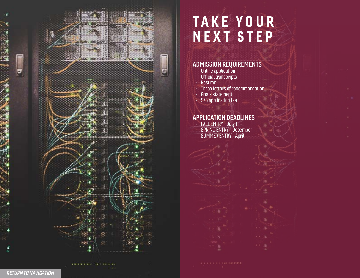<span id="page-9-0"></span>

## TAKE YOUR NEXT STEP

### ADMISSION REQUIREMENTS

- Online application
- Official transcripts
- Resume
- Three letters of recommendation
- Goals statement
- \$75 application fee

#### APPLICATION DEADLINES

- FALL ENTRY July 1
- SPRING ENTRY December 1
- SUMMER ENTRY April 1